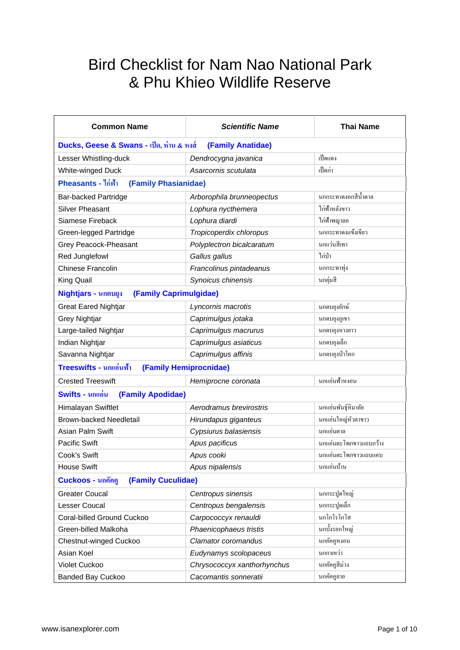## Bird Checklist for Nam Nao National Park & Phu Khieo Wildlife Reserve

| <b>Common Name</b>                                            | <b>Scientific Name</b>      | <b>Thai Name</b>       |
|---------------------------------------------------------------|-----------------------------|------------------------|
| Ducks, Geese & Swans - เป็ด, ห่าน & หงส์<br>(Family Anatidae) |                             |                        |
| Lesser Whistling-duck                                         | Dendrocygna javanica        | เป็ดแดง                |
| White-winged Duck                                             | Asarcornis scutulata        | เป็ดก่า                |
| Pheasants - ไก่ฟ้า<br>(Family Phasianidae)                    |                             |                        |
| <b>Bar-backed Partridge</b>                                   | Arborophila brunneopectus   | นกกระทาดงอกสีน้ำตาล    |
| <b>Silver Pheasant</b>                                        | Lophura nycthemera          | ไก่ฟ้าหลังขาว          |
| Siamese Fireback                                              | Lophura diardi              | ไก่ฟ้าพญาลอ            |
| Green-legged Partridge                                        | Tropicoperdix chloropus     | นกกระทาคงแข้งเขียว     |
| Grey Peacock-Pheasant                                         | Polyplectron bicalcaratum   | นกแว่นสีเทา            |
| Red Junglefowl                                                | Gallus gallus               | ไก่ป่า                 |
| <b>Chinese Francolin</b>                                      | Francolinus pintadeanus     | นกกระทาทุ่ง            |
| King Quail                                                    | Synoicus chinensis          | นกคุ่มสี               |
| (Family Caprimulgidae)<br>Nightjars - นกตบยุง                 |                             |                        |
| <b>Great Eared Nightjar</b>                                   | Lyncornis macrotis          | นกตบขุงขักษ์           |
| Grey Nightjar                                                 | Caprimulgus jotaka          | นกตบขุงภูเขา           |
| Large-tailed Nightjar                                         | Caprimulgus macrurus        | นกตบขุงหางยาว          |
| Indian Nightjar                                               | Caprimulgus asiaticus       | นกตบขุงเล็ก            |
| Savanna Nightjar                                              | Caprimulgus affinis         | นกตบขุงป่าโคก          |
| Treeswifts - นกแอ่นฟ้า                                        | (Family Hemiprocnidae)      |                        |
| <b>Crested Treeswift</b>                                      | Hemiprocne coronata         | นกแอ่นฟ้าหงอน          |
| (Family Apodidae)<br>Swifts - นกแอ่น                          |                             |                        |
| Himalayan Swiftlet                                            | Aerodramus brevirostris     | นกแอ่นพันธุ์หิมาลัย    |
| <b>Brown-backed Needletail</b>                                | Hirundapus giganteus        | นกแอ่นใหญ่หัวตาขาว     |
| Asian Palm Swift                                              | Cypsiurus balasiensis       | นกแอ่นตาล              |
| <b>Pacific Swift</b>                                          | Apus pacificus              | นกแอ่นตะโพกขาวแถบกว้าง |
| Cook's Swift                                                  | Apus cooki                  | นกแอ่นตะโพกขาวแถบแคบ   |
| <b>House Swift</b>                                            | Apus nipalensis             | นกแอ่นบ้าน             |
| <b>Cuckoos - นกคัคคู</b><br>(Family Cuculidae)                |                             |                        |
| <b>Greater Coucal</b>                                         | Centropus sinensis          | นกกระปูดใหญ่           |
| Lesser Coucal                                                 | Centropus bengalensis       | นกกระปูดเล็ก           |
| Coral-billed Ground Cuckoo                                    | Carpococcyx renauldi        | นกโกโรโกโส             |
| Green-billed Malkoha                                          | Phaenicophaeus tristis      | นกบั้งรอกใหญ่          |
| Chestnut-winged Cuckoo                                        | Clamator coromandus         | นกคัคคูหงอน            |
| Asian Koel                                                    | Eudynamys scolopaceus       | นกกาเหว่า              |
| Violet Cuckoo                                                 | Chrysococcyx xanthorhynchus | นกคัคคูสีม่วง          |
| <b>Banded Bay Cuckoo</b>                                      | Cacomantis sonneratii       | นกคัคคูลาย             |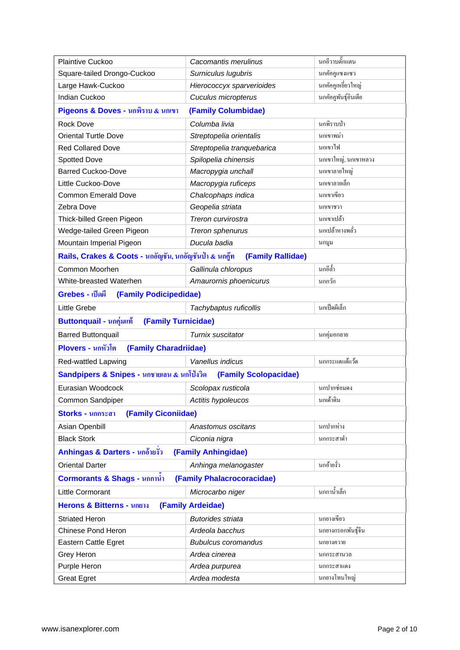| Plaintive Cuckoo                                                    | Cacomantis merulinus       | นกอีวาบตั๊กแตน       |  |
|---------------------------------------------------------------------|----------------------------|----------------------|--|
| Square-tailed Drongo-Cuckoo                                         | Surniculus lugubris        | นกคัคคูแซงแซว        |  |
| Large Hawk-Cuckoo                                                   | Hierococcyx sparverioides  | นกคัคคูเหยี่ยวใหญ่   |  |
| Indian Cuckoo                                                       | Cuculus micropterus        | นกคัคคูพันธุ์อินเดีย |  |
| Pigeons & Doves - นกพิราบ & นกเขา                                   | (Family Columbidae)        |                      |  |
| <b>Rock Dove</b>                                                    | Columba livia              | นกพิราบป่า           |  |
| <b>Oriental Turtle Dove</b>                                         | Streptopelia orientalis    | นกเขาพม่า            |  |
| <b>Red Collared Dove</b>                                            | Streptopelia tranquebarica | นกเขาไฟ              |  |
| <b>Spotted Dove</b>                                                 | Spilopelia chinensis       | นกเขาใหญ่, นกเขาหลวง |  |
| <b>Barred Cuckoo-Dove</b>                                           | Macropygia unchall         | นกเขาลายใหญ่         |  |
| Little Cuckoo-Dove                                                  | Macropygia ruficeps        | นกเขาลายเล็ก         |  |
| <b>Common Emerald Dove</b>                                          | Chalcophaps indica         | นกเขาเขียว           |  |
| Zebra Dove                                                          | Geopelia striata           | นกเขาชวา             |  |
| Thick-billed Green Pigeon                                           | Treron curvirostra         | นกเขาเปล้า           |  |
| Wedge-tailed Green Pigeon                                           | Treron sphenurus           | นกเปล้าหางพลั่ว      |  |
| Mountain Imperial Pigeon                                            | Ducula badia               | นกมูม                |  |
| Rails, Crakes & Coots - นกอัญชัน, นกอัญชันป่า & นกคู๊ท              | (Family Rallidae)          |                      |  |
| Common Moorhen                                                      | Gallinula chloropus        | นกอีล้ำ              |  |
| White-breasted Waterhen                                             | Amaurornis phoenicurus     | นกกวัก               |  |
| Grebes - เป็ดผี<br>(Family Podicipedidae)                           |                            |                      |  |
| Little Grebe                                                        | Tachybaptus ruficollis     | นกเปิ้ดผีเล็ก        |  |
| Buttonquail - นกคุ่มแท้<br>(Family Turnicidae)                      |                            |                      |  |
| <b>Barred Buttonquail</b>                                           | Turnix suscitator          | นกคุ่มอกลาย          |  |
| Plovers - นกหัวโต<br>(Family Charadriidae)                          |                            |                      |  |
| Red-wattled Lapwing                                                 | Vanellus indicus           | นกกระแตแต้แว้ค       |  |
| Sandpipers & Snipes - นกชายเลน & นกโป่งวิด<br>(Family Scolopacidae) |                            |                      |  |
| Eurasian Woodcock                                                   | Scolopax rusticola         | นกปากซ่อมดง          |  |
| Common Sandpiper                                                    | Actitis hypoleucos         | นกเค้าดิน            |  |
| (Family Ciconiidae)<br>Storks - นกกระสา                             |                            |                      |  |
| Asian Openbill                                                      | Anastomus oscitans         | นกปากห่าง            |  |
| <b>Black Stork</b>                                                  | Ciconia nigra              | นกกระสาคำ            |  |
| Anhingas & Darters - นกอ้ายงัว<br>(Family Anhingidae)               |                            |                      |  |
| <b>Oriental Darter</b>                                              | Anhinga melanogaster       | นกอ้ายงั่ว           |  |
| (Family Phalacrocoracidae)<br>Cormorants & Shags - นกกานำ           |                            |                      |  |
| Little Cormorant                                                    | Microcarbo niger           | นกกาน้ำเล็ก          |  |
| Herons & Bitterns - นกยาง<br>(Family Ardeidae)                      |                            |                      |  |
| <b>Striated Heron</b>                                               | <b>Butorides striata</b>   | นกขางเขียว           |  |
| <b>Chinese Pond Heron</b>                                           | Ardeola bacchus            | นกยางกรอกพันธุ์จีน   |  |
| Eastern Cattle Egret                                                | <b>Bubulcus coromandus</b> | นกยางควาย            |  |
| Grey Heron                                                          | Ardea cinerea              | นกกระสานวล           |  |
| Purple Heron                                                        | Ardea purpurea             | นกกระสาแดง           |  |
| <b>Great Egret</b>                                                  | Ardea modesta              | นกยางโทนใหญ่         |  |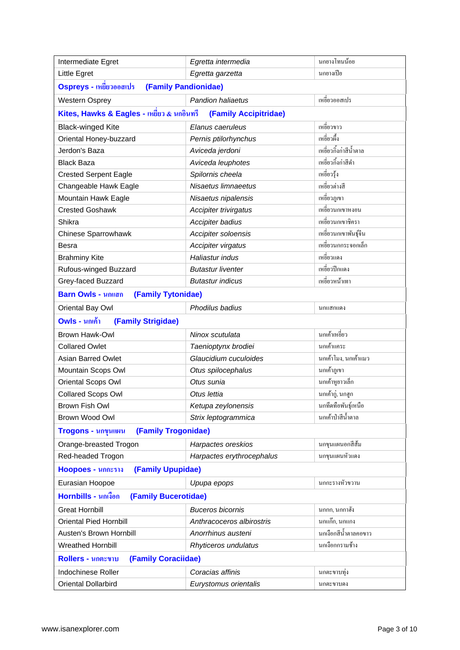| Intermediate Egret                              | Egretta intermedia        | นกยางโทนน้อย           |
|-------------------------------------------------|---------------------------|------------------------|
| Little Egret                                    | Egretta garzetta          | นกยางเปีย              |
| Ospreys - เหยี่ยวออสเปร<br>(Family Pandionidae) |                           |                        |
| <b>Western Osprey</b>                           | Pandion haliaetus         | เหขี่ยวออสเปร          |
| Kites, Hawks & Eagles - เหยี่ยว & นกอินทรี      | (Family Accipitridae)     |                        |
| <b>Black-winged Kite</b>                        | Elanus caeruleus          | เหขี่ยวขาว             |
| Oriental Honey-buzzard                          | Pernis ptilorhynchus      | เหขี่ยวผึ้ง            |
| Jerdon's Baza                                   | Aviceda jerdoni           | เหขี่ยวกิ้งก่าสีน้ำตาล |
| <b>Black Baza</b>                               | Aviceda leuphotes         | เหขี่ยวกึ้งก่าสีดำ     |
| <b>Crested Serpent Eagle</b>                    | Spilornis cheela          | เหขี่ยวรุ้ง            |
| Changeable Hawk Eagle                           | Nisaetus limnaeetus       | เหขี่ยวต่างสี          |
| Mountain Hawk Eagle                             | Nisaetus nipalensis       | เหขี่ยวภูเขา           |
| <b>Crested Goshawk</b>                          | Accipiter trivirgatus     | เหขี่ยวนกเขาหงอน       |
| Shikra                                          | Accipiter badius          | เหขี่ยวนกเขาชิครา      |
| Chinese Sparrowhawk                             | Accipiter soloensis       | เหขี่ยวนกเขาพันธุ์จีน  |
| Besra                                           | Accipiter virgatus        | เหขี่ยวนกกระจอกเล็ก    |
| <b>Brahminy Kite</b>                            | Haliastur indus           | เหขี่ยวแดง             |
| Rufous-winged Buzzard                           | <b>Butastur liventer</b>  | เหขี่ยวปีกแดง          |
| Grey-faced Buzzard                              | <b>Butastur indicus</b>   | เหยี่ยวหน้าเทา         |
| <b>Barn Owls - นกแสก</b><br>(Family Tytonidae)  |                           |                        |
| Oriental Bay Owl                                | Phodilus badius           | นกแสกแคง               |
| <b>Owls - นกเค้า</b><br>(Family Strigidae)      |                           |                        |
| <b>Brown Hawk-Owl</b>                           | Ninox scutulata           | นกเค้าเหขี่ยว          |
| <b>Collared Owlet</b>                           | Taenioptynx brodiei       | นกเค้าแคระ             |
| <b>Asian Barred Owlet</b>                       | Glaucidium cuculoides     | นกเค้าโมง, นกเค้าแมว   |
| Mountain Scops Owl                              | Otus spilocephalus        | นกเค้าภูเขา            |
| Oriental Scops Owl                              | Otus sunia                | นกเค้าหูขาวเล็ก        |
| <b>Collared Scops Owl</b>                       | Otus lettia               | นกเค้ากู่, นกสูก       |
| Brown Fish Owl                                  | Ketupa zeylonensis        | นกทึดทือพันฐ์เหนือ     |
| Brown Wood Owl                                  | Strix leptogrammica       | นกเค้าป่าสีน้ำตาล      |
| (Family Trogonidae)<br>Trogons - นกขุนแผน       |                           |                        |
| Orange-breasted Trogon                          | Harpactes oreskios        | นกขุนแผนอกสีส้ม        |
| Red-headed Trogon                               | Harpactes erythrocephalus | นกขุนแผนหัวแดง         |
| (Family Upupidae)<br><b>Hoopoes - นกกะราง</b>   |                           |                        |
| Eurasian Hoopoe                                 | Upupa epops               | นกกะรางหัวขวาน         |
| Hornbills - นกเงือก<br>(Family Bucerotidae)     |                           |                        |
| <b>Great Hornbill</b>                           | <b>Buceros bicornis</b>   | นกกก, นกกาฮัง          |
| <b>Oriental Pied Hornbill</b>                   | Anthracoceros albirostris | นกแก๊ก, นกแกง          |
| Austen's Brown Hornbill                         | Anorrhinus austeni        | นกเงือกสีน้ำตาลคอขาว   |
| Wreathed Hornbill                               | Rhyticeros undulatus      | นกเงือกกรามช้าง        |
| (Family Coraciidae)<br>Rollers - นกตะขาบ        |                           |                        |
| Indochinese Roller                              | Coracias affinis          | นกตะขาบทุ่ง            |
| <b>Oriental Dollarbird</b>                      | Eurystomus orientalis     | นกตะขาบคง              |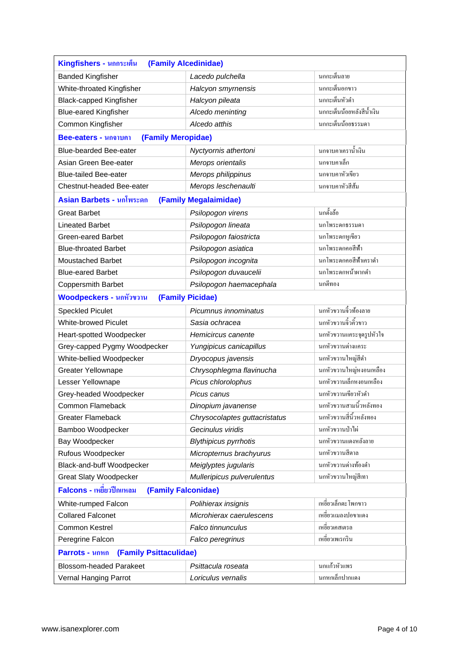| Kingfishers - นกกระเต็น<br>(Family Alcedinidae)   |                               |                           |  |
|---------------------------------------------------|-------------------------------|---------------------------|--|
| <b>Banded Kingfisher</b>                          | Lacedo pulchella              | นกกะเต็นลาย               |  |
| White-throated Kingfisher                         | Halcyon smyrnensis            | นกกะเต็นอกขาว             |  |
| <b>Black-capped Kingfisher</b>                    | Halcyon pileata               | นกกะเต็นหัวคำ             |  |
| <b>Blue-eared Kingfisher</b>                      | Alcedo meninting              | นกกะเต็นน้อยหลังสีน้ำเงิน |  |
| Common Kingfisher                                 | Alcedo atthis                 | นกกะเต็นน้อยธรรมดา        |  |
| (Family Meropidae)<br><b>Bee-eaters - นกจาบคา</b> |                               |                           |  |
| <b>Blue-bearded Bee-eater</b>                     | Nyctyornis athertoni          | นกจาบคาเคราน้ำเงิน        |  |
| Asian Green Bee-eater                             | Merops orientalis             | นกจาบคาเล็ก               |  |
| <b>Blue-tailed Bee-eater</b>                      | Merops philippinus            | นกจาบคาหัวเขียว           |  |
| Chestnut-headed Bee-eater                         | Merops leschenaulti           | นกจาบคาหัวสีส้ม           |  |
| Asian Barbets - นกโพระดก                          | (Family Megalaimidae)         |                           |  |
| <b>Great Barbet</b>                               | Psilopogon virens             | นกตั้งถ้อ                 |  |
| <b>Lineated Barbet</b>                            | Psilopogon lineata            | นกโพระคกธรรมดา            |  |
| Green-eared Barbet                                | Psilopogon faiostricta        | นกโพระคกหูเขียว           |  |
| <b>Blue-throated Barbet</b>                       | Psilopogon asiatica           | นกโพระดกคอสีฟ้า           |  |
| <b>Moustached Barbet</b>                          | Psilopogon incognita          | นกโพระดกคอสีฟ้าเคราดำ     |  |
| <b>Blue-eared Barbet</b>                          | Psilopogon duvaucelii         | นกโพระดกหน้าผากดำ         |  |
| <b>Coppersmith Barbet</b>                         | Psilopogon haemacephala       | นกตีทอง                   |  |
| <b>Woodpeckers - นกหัวขวาน</b>                    | (Family Picidae)              |                           |  |
| <b>Speckled Piculet</b>                           | Picumnus innominatus          | นกหัวขวานจิ๋วท้องลาย      |  |
| <b>White-browed Piculet</b>                       | Sasia ochracea                | นกหัวขวานจิ้วคิ้วขาว      |  |
| Heart-spotted Woodpecker                          | Hemicircus canente            | นกหัวขวานแคระจุดรูปหัวใจ  |  |
| Grey-capped Pygmy Woodpecker                      | Yungipicus canicapillus       | นกหัวขวานค่างแคระ         |  |
| White-bellied Woodpecker                          | Dryocopus javensis            | นกหัวขวานใหญ่สีดำ         |  |
| Greater Yellownape                                | Chrysophlegma flavinucha      | นกหัวขวานใหญ่หงอนเหลือง   |  |
| Lesser Yellownape                                 | Picus chlorolophus            | นกหัวขวานเล็กหงอนเหลือง   |  |
| Grey-headed Woodpecker                            | Picus canus                   | นกหัวขวานเขียวหัวคำ       |  |
| <b>Common Flameback</b>                           | Dinopium javanense            | ้นกหัวขวานสามนิ้วหลังทอง  |  |
| <b>Greater Flameback</b>                          | Chrysocolaptes guttacristatus | นกหัวขวานสี่นิ้วหลังทอง   |  |
| Bamboo Woodpecker                                 | Gecinulus viridis             | นกหัวขวานป่าไผ่           |  |
| Bay Woodpecker                                    | <b>Blythipicus pyrrhotis</b>  | นกหัวขวานแดงหลังลาย       |  |
| Rufous Woodpecker                                 | Micropternus brachyurus       | นกหัวขวานสีตาล            |  |
| Black-and-buff Woodpecker                         | Meiglyptes jugularis          | นกหัวขวานด่างท้องคำ       |  |
| <b>Great Slaty Woodpecker</b>                     | Mulleripicus pulverulentus    | นกหัวขวานใหญ่สีเทา        |  |
| Falcons - เหยี่ยวปีกแหลม<br>(Family Falconidae)   |                               |                           |  |
| White-rumped Falcon                               | Polihierax insignis           | เหขี่ยวเล็กตะ โพกขาว      |  |
| <b>Collared Falconet</b>                          | Microhierax caerulescens      | เหขี่ยวแมลงปองาแคง        |  |
| <b>Common Kestrel</b>                             | Falco tinnunculus             | เหขี่ยวเคสเตรล            |  |
| Peregrine Falcon                                  | Falco peregrinus              | เหขี่ยวเพเรกริน           |  |
| <b>Parrots - นกหก</b><br>(Family Psittaculidae)   |                               |                           |  |
| <b>Blossom-headed Parakeet</b>                    | Psittacula roseata            | นกแก้วหัวแพร              |  |
| Vernal Hanging Parrot                             | Loriculus vernalis            | นกหกเล็กปากแคง            |  |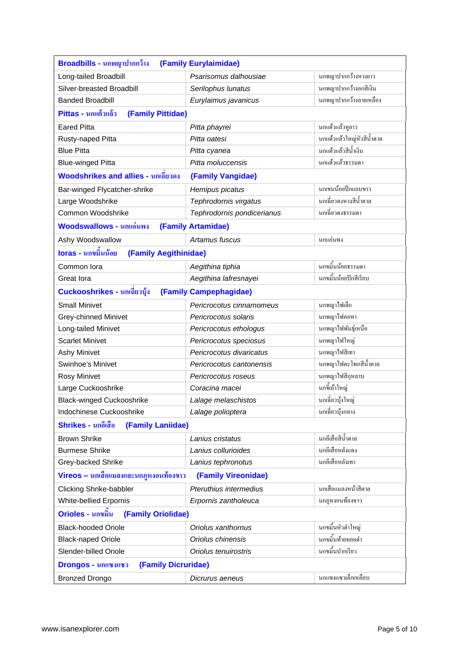| Broadbills - นกพญาปากกว้าง<br>(Family Eurylaimidae)          |                            |                           |  |
|--------------------------------------------------------------|----------------------------|---------------------------|--|
| Long-tailed Broadbill                                        | Psarisomus dalhousiae      | นกพญาปากกว้างหางยาว       |  |
| Silver-breasted Broadbill                                    | Serilophus lunatus         | นกพญาปากกว้างอกสีเงิน     |  |
| <b>Banded Broadbill</b>                                      | Eurylaimus javanicus       | นกพญาปากกว้างลายเหลือง    |  |
| Pittas - นกแต้วแล้ว<br>(Family Pittidae)                     |                            |                           |  |
| <b>Eared Pitta</b>                                           | Pitta phayrei              | นกแต้วแล้วหูขาว           |  |
| Rusty-naped Pitta                                            | Pitta oatesi               | นกแต้วแล้วใหญ่หัวสีน้ำตาล |  |
| <b>Blue Pitta</b>                                            | Pitta cyanea               | นกแต้วแล้วสีน้ำเงิน       |  |
| <b>Blue-winged Pitta</b>                                     | Pitta moluccensis          | นกแด้วแล้วธรรมดา          |  |
| <b>Woodshrikes and allies - นกเฉียวดง</b>                    | (Family Vangidae)          |                           |  |
| Bar-winged Flycatcher-shrike                                 | Hemipus picatus            | นกเขนน้อยปึกแถบขาว        |  |
| Large Woodshrike                                             | Tephrodornis virgatus      | นกเฉี่ยวดงหางสีน้ำตาล     |  |
| Common Woodshrike                                            | Tephrodornis pondicerianus | นกเฉี่ยวคงธรรมดา          |  |
| <b>Woodswallows - นกแอ่นพง</b>                               | (Family Artamidae)         |                           |  |
| Ashy Woodswallow                                             | Artamus fuscus             | นกแอ่นพง                  |  |
| loras - นกขมิ้นน้อย<br>(Family Aegithinidae)                 |                            |                           |  |
| Common lora                                                  | Aegithina tiphia           | นกงมิ้นน้อยธรรมดา         |  |
| Great lora                                                   | Aegithina lafresnayei      | นกขมิ้นน้อยปีกสีเรียบ     |  |
| Cuckooshrikes - นกเฉียวบุ้ง                                  | (Family Campephagidae)     |                           |  |
| <b>Small Minivet</b>                                         | Pericrocotus cinnamomeus   | นกพญาไฟเล็ก               |  |
| <b>Grey-chinned Minivet</b>                                  | Pericrocotus solaris       | นกพญาไฟคอทา               |  |
| Long-tailed Minivet                                          | Pericrocotus ethologus     | นกพญาไฟพันธุ์เหนือ        |  |
| <b>Scarlet Minivet</b>                                       | Pericrocotus speciosus     | นกพญาไฟใหญ่               |  |
| <b>Ashy Minivet</b>                                          | Pericrocotus divaricatus   | นกพญาไฟสีเทา              |  |
| Swinhoe's Minivet                                            | Pericrocotus cantonensis   | นกพญาไฟตะโพกสีน้ำตาล      |  |
| Rosy Minivet                                                 | Pericrocotus roseus        | นกพญาไฟสีกุหลาบ           |  |
| Large Cuckooshrike                                           | Coracina macei             | นกขี้เถ้าใหญ่             |  |
| <b>Black-winged Cuckooshrike</b>                             | Lalage melaschistos        | นกเฉี่ยวบั้งใหญ่          |  |
| Indochinese Cuckooshrike                                     | Lalage polioptera          | นกเฉี่ยวบุ้งกลาง          |  |
| Shrikes - นกอีเสือ<br>(Family Laniidae)                      |                            |                           |  |
| <b>Brown Shrike</b>                                          | Lanius cristatus           | นกอีเสือสีน้ำตาล          |  |
| <b>Burmese Shrike</b>                                        | Lanius collurioides        | นกอีเสือหลังแคง           |  |
| Grey-backed Shrike                                           | Lanius tephronotus         | นกอีเสือหลังเทา           |  |
| Vireos – นกเสื้อแมลงและนกฎหงอนท้องขาว<br>(Family Vireonidae) |                            |                           |  |
| <b>Clicking Shrike-babbler</b>                               | Pteruthius intermedius     | นกเสือแมลงหน้าสีตาล       |  |
| White-bellied Erpornis                                       | Erpornis zantholeuca       | นกฎหงอนท้องขาว            |  |
| Orioles - นกขมิ้น<br>(Family Oriolidae)                      |                            |                           |  |
| <b>Black-hooded Oriole</b>                                   | Oriolus xanthornus         | นกขมิ้นหัวดำใหญ่          |  |
| <b>Black-naped Oriole</b>                                    | Oriolus chinensis          | นกขมื้นท้ายทอยคำ          |  |
| Slender-billed Oriole                                        | Oriolus tenuirostris       | นกขมิ้นปากเรียว           |  |
| (Family Dicruridae)<br>Drongos - นกแซงแซว                    |                            |                           |  |
| <b>Bronzed Drongo</b>                                        | Dicrurus aeneus            | นกแซงแซวเล็กเหลือบ        |  |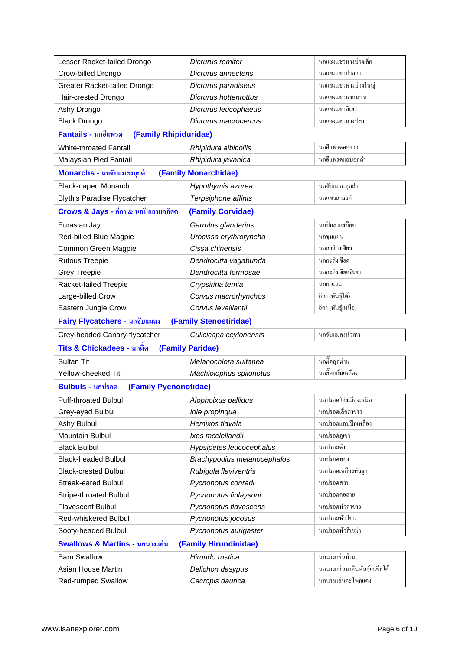| Lesser Racket-tailed Drongo                  | Dicrurus remifer            | นกแซงแซวหางบ่วงเล็ก           |
|----------------------------------------------|-----------------------------|-------------------------------|
| Crow-billed Drongo                           | Dicrurus annectens          | นกแซงแซวปากกา                 |
| <b>Greater Racket-tailed Drongo</b>          | Dicrurus paradiseus         | นกแซงแซวหางบ่วงใหญ่           |
| Hair-crested Drongo                          | Dicrurus hottentottus       | นกแซงแซวหงอนขน                |
| Ashy Drongo                                  | Dicrurus leucophaeus        | นกแซงแซวสีเทา                 |
| <b>Black Drongo</b>                          | Dicrurus macrocercus        | ็นกแซงแซวหางปลา               |
| Fantails - นกอีแพรด<br>(Family Rhipiduridae) |                             |                               |
| <b>White-throated Fantail</b>                | Rhipidura albicollis        | นกอีแพรคคอขาว                 |
| Malaysian Pied Fantail                       | Rhipidura javanica          | นกอีแพรคแถบอกคำ               |
| Monarchs - นกจับแมลงจุกดำ                    | (Family Monarchidae)        |                               |
| <b>Black-naped Monarch</b>                   | Hypothymis azurea           | นกจับแมลงจุกคำ                |
| <b>Blyth's Paradise Flycatcher</b>           | Terpsiphone affinis         | นกแซวสวรรค์                   |
| Crows & Jays - อีกา & นกปีกลายสก๊อต          | (Family Corvidae)           |                               |
| Eurasian Jay                                 | Garrulus glandarius         | นกปีกลายสก๊อต                 |
| Red-billed Blue Magpie                       | Urocissa erythroryncha      | นกขุนแผน                      |
| Common Green Magpie                          | Cissa chinensis             | นกสาลิกาเขียว                 |
| <b>Rufous Treepie</b>                        | Dendrocitta vagabunda       | นกกะลิงเขียด                  |
| <b>Grey Treepie</b>                          | Dendrocitta formosae        | นกกะลิงเขียดสีเทา             |
| Racket-tailed Treepie                        | Crypsirina temia            | นกกาแวน                       |
| Large-billed Crow                            | Corvus macrorhynchos        | อีกา (พันธุ์ใต้)              |
| Eastern Jungle Crow                          | Corvus levaillantii         | อีกา (พันธุ์เหนือ)            |
| Fairy Flycatchers - นกจับแมลง                | (Family Stenostiridae)      |                               |
| Grey-headed Canary-flycatcher                | Culicicapa ceylonensis      | นกจับแมลงหัวเทา               |
| Tits & Chickadees - นกติด                    | (Family Paridae)            |                               |
| Sultan Tit                                   | Melanochlora sultanea       | นกติ๊ดสุลต่าน                 |
| Yellow-cheeked Tit                           | Machlolophus spilonotus     | นกดิ๊ดแก้มเหลือง              |
| Bulbuls - นุกปรอด<br>(Family Pycnonotidae)   |                             |                               |
| <b>Puff-throated Bulbul</b>                  | Alophoixus pallidus         | ุนกปรอดโอ่งเมืองเหนือ         |
| Grey-eyed Bulbul                             | Iole propinqua              | นกปรอดเล็กตาขาว               |
| Ashy Bulbul                                  | Hemixos flavala             | นกปรอคแถบปีกเหลือง            |
| Mountain Bulbul                              | Ixos mcclellandii           | นกปรอคภูเขา                   |
| <b>Black Bulbul</b>                          | Hypsipetes leucocephalus    | นกปรอดดำ                      |
| <b>Black-headed Bulbul</b>                   | Brachypodius melanocephalos | นกปรอดทอง                     |
| <b>Black-crested Bulbul</b>                  | Rubigula flaviventris       | นกปรอดเหลืองหัวจุก            |
| <b>Streak-eared Bulbul</b>                   | Pycnonotus conradi          | นกปรอดสวน                     |
| <b>Stripe-throated Bulbul</b>                | Pycnonotus finlaysoni       | นกปรอดคอลาย                   |
| <b>Flavescent Bulbul</b>                     | Pycnonotus flavescens       | นกปรอดหัวตาขาว                |
| <b>Red-whiskered Bulbul</b>                  | Pycnonotus jocosus          | นกปรอคหัวโขน                  |
| Sooty-headed Bulbul                          | Pycnonotus aurigaster       | นกปรอดหัวสีเขม่า              |
| <b>Swallows &amp; Martins - นกนางแอ่น</b>    | (Family Hirundinidae)       |                               |
| <b>Barn Swallow</b>                          | Hirundo rustica             | นกนางแอ่นบ้าน                 |
| Asian House Martin                           | Delichon dasypus            | นกนางแอ่นมาตินพันธุ์เอเซียใต้ |
| <b>Red-rumped Swallow</b>                    | Cecropis daurica            | นกนางแอ่นตะโพกแดง             |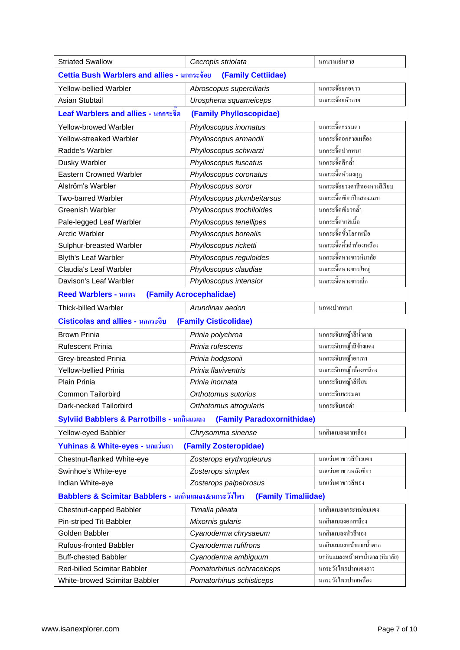| <b>Striated Swallow</b>                                                    | Cecropis striolata         | นกนางแอ่นลาย                     |  |
|----------------------------------------------------------------------------|----------------------------|----------------------------------|--|
| Cettia Bush Warblers and allies - นกกระจ้อย<br>(Family Cettiidae)          |                            |                                  |  |
| <b>Yellow-bellied Warbler</b>                                              | Abroscopus superciliaris   | นกกระจ้อยคอขาว                   |  |
| Asian Stubtail                                                             | Urosphena squameiceps      | นกกระจ้อยหัวลาย                  |  |
| Leaf Warblers and allies - นกกระจิด                                        | (Family Phylloscopidae)    |                                  |  |
| Yellow-browed Warbler                                                      | Phylloscopus inornatus     | นกกระจิ๊คธรรมดา                  |  |
| <b>Yellow-streaked Warbler</b>                                             | Phylloscopus armandii      | ้นกกระจิ๊ดอกลายเหลือง            |  |
| Radde's Warbler                                                            | Phylloscopus schwarzi      | นกกระจิ๊ดปากหนา                  |  |
| Dusky Warbler                                                              | Phylloscopus fuscatus      | นกกระจิ๊ดสีกล้ำ                  |  |
| <b>Eastern Crowned Warbler</b>                                             | Phylloscopus coronatus     | นกกระจิ๊ดหัวมงกุฎ                |  |
| Alström's Warbler                                                          | Phylloscopus soror         | นกกระจ้อยวงตาสีทองหางสีเรียบ     |  |
| <b>Two-barred Warbler</b>                                                  | Phylloscopus plumbeitarsus | นกกระจิ๊คเขียวปีกสองแถบ          |  |
| <b>Greenish Warbler</b>                                                    | Phylloscopus trochiloides  | นกกระจิ๊ดเขียวคล้ำ               |  |
| Pale-legged Leaf Warbler                                                   | Phylloscopus tenellipes    | นกกระจิ๊ดขาสีเนื้อ               |  |
| <b>Arctic Warbler</b>                                                      | Phylloscopus borealis      | นกกระจิ๊คขั้วโลกเหนือ            |  |
| Sulphur-breasted Warbler                                                   | Phylloscopus ricketti      | นกกระจิ๊ดคิ้วดำท้องเหลือง        |  |
| <b>Blyth's Leaf Warbler</b>                                                | Phylloscopus reguloides    | ้นกกระจิ๊คหางขาวหิมาลัย          |  |
| <b>Claudia's Leaf Warbler</b>                                              | Phylloscopus claudiae      | ้นกกระจิ๊คหางขาวใหญ่             |  |
| Davison's Leaf Warbler                                                     | Phylloscopus intensior     | นกกระจิ๊ดหางขาวเล็ก              |  |
| <b>Reed Warblers - นกพง</b>                                                | (Family Acrocephalidae)    |                                  |  |
| <b>Thick-billed Warbler</b>                                                | Arundinax aedon            | นกพงปากหนา                       |  |
| Cisticolas and allies - นกกระจิบ                                           | (Family Cisticolidae)      |                                  |  |
| <b>Brown Prinia</b>                                                        | Prinia polychroa           | นกกระจิบหญ้าสีน้ำตาล             |  |
| <b>Rufescent Prinia</b>                                                    | Prinia rufescens           | นกกระจิบหญ้าสีข้างแคง            |  |
| Grey-breasted Prinia                                                       | Prinia hodgsonii           | นกกระจิบหญ้าอกเทา                |  |
| <b>Yellow-bellied Prinia</b>                                               | Prinia flaviventris        | นกกระจิบหญ้าท้องเหลือง           |  |
| Plain Prinia                                                               | Prinia inornata            | นกกระจิบหญ้าสีเรียบ              |  |
| <b>Common Tailorbird</b>                                                   | Orthotomus sutorius        | นกกระจิบธรรมดา                   |  |
| Dark-necked Tailorbird                                                     | Orthotomus atrogularis     | นกกระจิบคอคำ                     |  |
| Sylviid Babblers & Parrotbills - นกกินแมลง                                 | (Family Paradoxornithidae) |                                  |  |
| Yellow-eyed Babbler                                                        | Chrysomma sinense          | นกกินแมลงตาเหลือง                |  |
| Yuhinas & White-eyes - นกแว่นตา                                            | (Family Zosteropidae)      |                                  |  |
| Chestnut-flanked White-eye                                                 | Zosterops erythropleurus   | นกแว่นตาขาวสีข้างแดง             |  |
| Swinhoe's White-eye                                                        | Zosterops simplex          | นกแว่นตาขาวหลังเขียว             |  |
| Indian White-eye                                                           | Zosterops palpebrosus      | นกแว่นตาขาวสีทอง                 |  |
| Babblers & Scimitar Babblers - นกกินแมลง&นกระวังไพร<br>(Family Timaliidae) |                            |                                  |  |
| Chestnut-capped Babbler                                                    | Timalia pileata            | นกกินแมลงกระหม่อมแดง             |  |
| Pin-striped Tit-Babbler                                                    | Mixornis gularis           | นกกินแมลงอกเหลือง                |  |
| Golden Babbler                                                             | Cyanoderma chrysaeum       | นกกินแมลงหัวสีทอง                |  |
| <b>Rufous-fronted Babbler</b>                                              | Cyanoderma rufifrons       | นกกินแมลงหน้าผากน้ำตาล           |  |
| <b>Buff-chested Babbler</b>                                                | Cyanoderma ambiguum        | นกกินแมลงหน้าผากน้ำตาล (หิมาลัย) |  |
| Red-billed Scimitar Babbler                                                | Pomatorhinus ochraceiceps  | นกระวังไพรปากแคงยาว              |  |
| White-browed Scimitar Babbler                                              | Pomatorhinus schisticeps   | นกระวังไพรปากเหลือง              |  |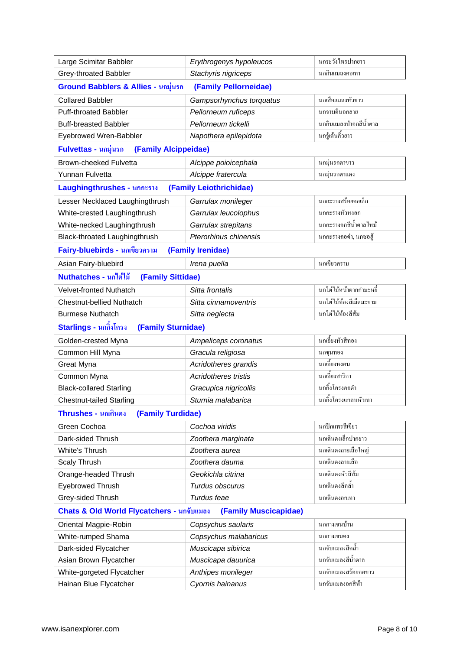| Large Scimitar Babbler                                             | Erythrogenys hypoleucos     | นกระวังไพรปากยาว         |
|--------------------------------------------------------------------|-----------------------------|--------------------------|
| Grey-throated Babbler                                              | Stachyris nigriceps         | นกกินแมลงคอเทา           |
| Ground Babblers & Allies - นกมุ่นรก                                | (Family Pellorneidae)       |                          |
| <b>Collared Babbler</b>                                            | Gampsorhynchus torquatus    | นกเสื้อแมลงหัวขาว        |
| <b>Puff-throated Babbler</b>                                       | Pellorneum ruficeps         | นกจาบดินอกลาย            |
| <b>Buff-breasted Babbler</b>                                       | Pellorneum tickelli         | นกกินแมลงป่าอกสีน้ำตาล   |
| Eyebrowed Wren-Babbler                                             | Napothera epilepidota       | นกขู้เต้นกิ้วขาว         |
| Fulvettas - นกมุ่นรก<br>(Family Alcippeidae)                       |                             |                          |
| <b>Brown-cheeked Fulvetta</b>                                      | Alcippe poioicephala        | นกมุ่นรกตาขาว            |
| Yunnan Fulvetta                                                    | Alcippe fratercula          | นกมุ่นรกตาแดง            |
| Laughingthrushes - นกกะราง                                         | (Family Leiothrichidae)     |                          |
| Lesser Necklaced Laughingthrush                                    | Garrulax monileger          | นกกะรางสร้อยคอเล็ก       |
| White-crested Laughingthrush                                       | Garrulax leucolophus        | นกกะรางหัวหงอก           |
| White-necked Laughingthrush                                        | Garrulax strepitans         | นกกะรางอกสีน้ำตาลไหม้    |
| Black-throated Laughingthrush                                      | Pterorhinus chinensis       | นกกะรางคอคำ, นกซอฮู้     |
| Fairy-bluebirds - นกเขียวคราม                                      | (Family Irenidae)           |                          |
| Asian Fairy-bluebird                                               | Irena puella                | นกเขียวคราม              |
| Nuthatches - นกไต่ไม้<br>(Family Sittidae)                         |                             |                          |
| Velvet-fronted Nuthatch                                            | Sitta frontalis             | นกไต่ไม้หน้าผากกำมะหชี่  |
| <b>Chestnut-bellied Nuthatch</b>                                   | Sitta cinnamoventris        | นกไต่ไม้ท้องสีเม็ดมะขาม  |
| <b>Burmese Nuthatch</b>                                            | Sitta neglecta              | นกไต่ไม้ท้องสีส้ม        |
| Starlings - นกกิ๋งโครง<br>(Family Sturnidae)                       |                             |                          |
| Golden-crested Myna                                                | Ampeliceps coronatus        | นกเอี้ยงหัวสีทอง         |
| Common Hill Myna                                                   | Gracula religiosa           | นกขุนทอง                 |
| Great Myna                                                         | Acridotheres grandis        | <u>้</u><br>นกเอี้ยงหงอน |
| Common Myna                                                        | <b>Acridotheres tristis</b> | นกเอี้ยงสาริกา           |
| <b>Black-collared Starling</b>                                     | Gracupica nigricollis       | นกกึ้งโครงคอดำ           |
| <b>Chestnut-tailed Starling</b>                                    | Sturnia malabarica          | นกกิ้งโครงแกลบหัวเทา     |
| Thrushes - นกเดินดง<br>(Family Turdidae)                           |                             |                          |
| Green Cochoa                                                       | Cochoa viridis              | นกปีกแพรสีเขียว          |
| Dark-sided Thrush                                                  | Zoothera marginata          | นกเดินคงเล็กปากยาว       |
| White's Thrush                                                     | Zoothera aurea              | นกเดินดงลายเสือใหญ่      |
| <b>Scaly Thrush</b>                                                | Zoothera dauma              | นกเดินดงลายเสือ          |
| Orange-headed Thrush                                               | Geokichla citrina           | นกเดินคงหัวสีส้ม         |
| <b>Eyebrowed Thrush</b>                                            | Turdus obscurus             | นกเดินคงสีกล้ำ           |
| Grey-sided Thrush                                                  | Turdus feae                 | นกเดินดงอกเทา            |
| Chats & Old World Flycatchers - นกจับแมลง<br>(Family Muscicapidae) |                             |                          |
| Oriental Magpie-Robin                                              | Copsychus saularis          | นกกางเขนบ้าน             |
| White-rumped Shama                                                 | Copsychus malabaricus       | นกกางเขนดง               |
| Dark-sided Flycatcher                                              | Muscicapa sibirica          | นกจับแมลงสีคล้ำ          |
| Asian Brown Flycatcher                                             | Muscicapa dauurica          | นกจับแมลงสีน้ำตาล        |
| White-gorgeted Flycatcher                                          | Anthipes monileger          | นกจับแมลงสร้อยคอขาว      |
| Hainan Blue Flycatcher                                             | Cyornis hainanus            | นกจับแมลงอกสีฟ้า         |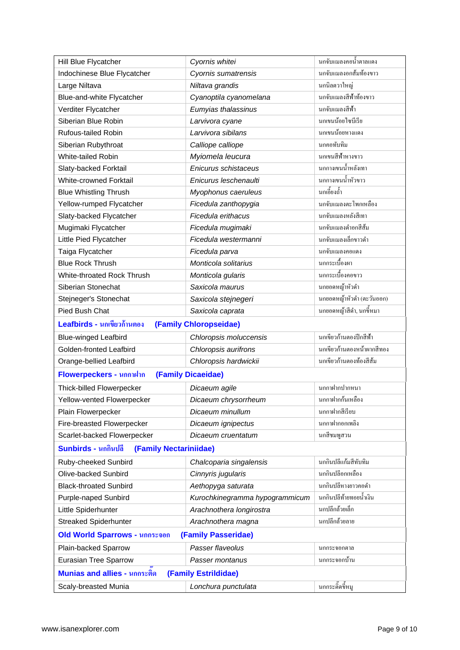| Hill Blue Flycatcher                                        | Cyornis whitei                 | นกจับแมลงคอน้ำตาลแดง       |
|-------------------------------------------------------------|--------------------------------|----------------------------|
| Indochinese Blue Flycatcher                                 | Cyornis sumatrensis            | นกจับแมลงอกส้มท้องขาว      |
| Large Niltava                                               | Niltava grandis                | นกนิลตวาใหญ่               |
| Blue-and-white Flycatcher                                   | Cyanoptila cyanomelana         | นกจับแมลงสีฟ้าท้องขาว      |
| Verditer Flycatcher                                         | Eumyias thalassinus            | นกจับแมลงสีฟ้า             |
| Siberian Blue Robin                                         | Larvivora cyane                | นกเขนน้อยใชบีเรีย          |
| <b>Rufous-tailed Robin</b>                                  | Larvivora sibilans             | นกเขนน้อยหางแคง            |
| Siberian Rubythroat                                         | Calliope calliope              | นกคอทับทิม                 |
| <b>White-tailed Robin</b>                                   | Myiomela leucura               | นกเขนสีฟ้าหางขาว           |
| Slaty-backed Forktail                                       | Enicurus schistaceus           | นกกางเขนน้ำหลังเทา         |
| White-crowned Forktail                                      | Enicurus leschenaulti          | ้นกกางเขนน้ำหัวขาว         |
| <b>Blue Whistling Thrush</b>                                | Myophonus caeruleus            | นกเอี้ยงถ้ำ                |
| Yellow-rumped Flycatcher                                    | Ficedula zanthopygia           | นกจับแมลงตะโพกเหลือง       |
| Slaty-backed Flycatcher                                     | Ficedula erithacus             | นกจับแมลงหลังสีเทา         |
| Mugimaki Flycatcher                                         | Ficedula mugimaki              | นกจับแมลงคำอกสีส้ม         |
| Little Pied Flycatcher                                      | Ficedula westermanni           | นกจับแมลงเล็กขาวคำ         |
| Taiga Flycatcher                                            | Ficedula parva                 | นกจับแมลงคอแดง             |
| <b>Blue Rock Thrush</b>                                     | Monticola solitarius           | นกกระเบื้องผา              |
| White-throated Rock Thrush                                  | Monticola gularis              | นกกระเบื้องคอขาว           |
| Siberian Stonechat                                          | Saxicola maurus                | นกขอดหญ้าหัวดำ             |
| Stejneger's Stonechat                                       | Saxicola stejnegeri            | นกขอดหญ้าหัวดำ (ตะวันออก)  |
| Pied Bush Chat                                              | Saxicola caprata               | นกขอดหญ้าสีดำ, นกขี้หมา    |
| Leafbirds - นกเขียวก้านตอง<br>(Family Chloropseidae)        |                                |                            |
| <b>Blue-winged Leafbird</b>                                 | Chloropsis moluccensis         | นกเขียวก้านตองปีกสีฟ้า     |
| Golden-fronted Leafbird                                     | Chloropsis aurifrons           | นกเขียวก้านตองหน้าผากสีทอง |
| Orange-bellied Leafbird                                     | Chloropsis hardwickii          | นกเขียวก้านตองท้องสีส้ม    |
| Flowerpeckers - นุกกาฝาก                                    | (Family Dicaeidae)             |                            |
| Thick-billed Flowerpecker                                   | Dicaeum agile                  | นกกาฝากปากหนา              |
| Yellow-vented Flowerpecker                                  | Dicaeum chrysorrheum           | นกกาฝากก้นเหลือง           |
| Plain Flowerpecker                                          | Dicaeum minullum               | นกกาฝากสีเรียบ             |
| Fire-breasted Flowerpecker                                  | Dicaeum ignipectus             | นกกาฝากอกเพลิง             |
| Scarlet-backed Flowerpecker                                 | Dicaeum cruentatum             | นกสีชมพูสวน                |
| Sunbirds - นกกินปลี<br>(Family Nectariniidae)               |                                |                            |
| Ruby-cheeked Sunbird                                        | Chalcoparia singalensis        | นกกินปลีแก้มสีทับทิม       |
| Olive-backed Sunbird                                        | Cinnyris jugularis             | นกกินปลีอกเหลือง           |
| <b>Black-throated Sunbird</b>                               | Aethopyga saturata             | นกกินปลีหางขาวคอคำ         |
| Purple-naped Sunbird                                        | Kurochkinegramma hypogrammicum | นกกินปลีท้ายทอยน้ำเงิน     |
| Little Spiderhunter                                         | Arachnothera longirostra       | นกปลีกล้วยเล็ก             |
| <b>Streaked Spiderhunter</b>                                | Arachnothera magna             | นกปลีกล้วขลาย              |
| <b>Old World Sparrows - นกกระจอก</b><br>(Family Passeridae) |                                |                            |
| Plain-backed Sparrow                                        | Passer flaveolus               | นกกระจอกตาล                |
| <b>Eurasian Tree Sparrow</b>                                | Passer montanus                | นกกระจอกบ้าน               |
| Munias and allies - นกกระติด<br>(Family Estrildidae)        |                                |                            |
| Scaly-breasted Munia                                        | Lonchura punctulata            | นกกระดิ๊ดขี้หมู            |